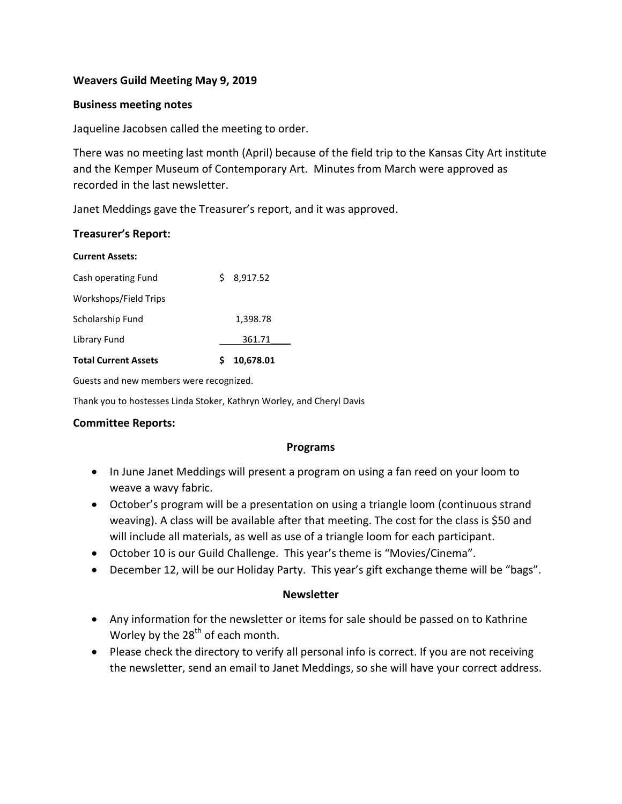#### **Weavers Guild Meeting May 9, 2019**

#### **Business meeting notes**

Jaqueline Jacobsen called the meeting to order.

There was no meeting last month (April) because of the field trip to the Kansas City Art institute and the Kemper Museum of Contemporary Art. Minutes from March were approved as recorded in the last newsletter.

Janet Meddings gave the Treasurer's report, and it was approved.

#### **Treasurer's Report:**

| <b>Current Assets:</b>      |               |  |
|-----------------------------|---------------|--|
| Cash operating Fund         | 8,917.52<br>S |  |
| Workshops/Field Trips       |               |  |
| Scholarship Fund            | 1,398.78      |  |
| Library Fund                | 361.71        |  |
| <b>Total Current Assets</b> | 10,678.01     |  |

Guests and new members were recognized.

Thank you to hostesses Linda Stoker, Kathryn Worley, and Cheryl Davis

#### **Committee Reports:**

#### **Programs**

- In June Janet Meddings will present a program on using a fan reed on your loom to weave a wavy fabric.
- October's program will be a presentation on using a triangle loom (continuous strand weaving). A class will be available after that meeting. The cost for the class is \$50 and will include all materials, as well as use of a triangle loom for each participant.
- October 10 is our Guild Challenge. This year's theme is "Movies/Cinema".
- December 12, will be our Holiday Party. This year's gift exchange theme will be "bags".

#### **Newsletter**

- Any information for the newsletter or items for sale should be passed on to Kathrine Worley by the  $28<sup>th</sup>$  of each month.
- Please check the directory to verify all personal info is correct. If you are not receiving the newsletter, send an email to Janet Meddings, so she will have your correct address.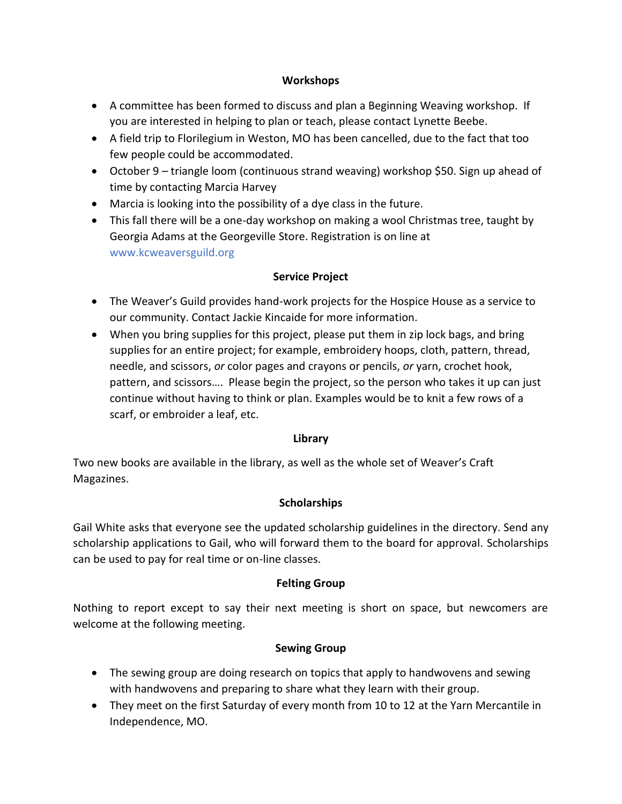### **Workshops**

- A committee has been formed to discuss and plan a Beginning Weaving workshop. If you are interested in helping to plan or teach, please contact Lynette Beebe.
- A field trip to Florilegium in Weston, MO has been cancelled, due to the fact that too few people could be accommodated.
- October 9 triangle loom (continuous strand weaving) workshop \$50. Sign up ahead of time by contacting Marcia Harvey
- Marcia is looking into the possibility of a dye class in the future.
- This fall there will be a one-day workshop on making a wool Christmas tree, taught by Georgia Adams at the Georgeville Store. Registration is on line at www.kcweaversguild.org

# **Service Project**

- The Weaver's Guild provides hand-work projects for the Hospice House as a service to our community. Contact Jackie Kincaide for more information.
- When you bring supplies for this project, please put them in zip lock bags, and bring supplies for an entire project; for example, embroidery hoops, cloth, pattern, thread, needle, and scissors, *or* color pages and crayons or pencils, *or* yarn, crochet hook, pattern, and scissors…. Please begin the project, so the person who takes it up can just continue without having to think or plan. Examples would be to knit a few rows of a scarf, or embroider a leaf, etc.

# **Library**

Two new books are available in the library, as well as the whole set of Weaver's Craft Magazines.

# **Scholarships**

Gail White asks that everyone see the updated scholarship guidelines in the directory. Send any scholarship applications to Gail, who will forward them to the board for approval. Scholarships can be used to pay for real time or on-line classes.

# **Felting Group**

Nothing to report except to say their next meeting is short on space, but newcomers are welcome at the following meeting.

# **Sewing Group**

- The sewing group are doing research on topics that apply to handwovens and sewing with handwovens and preparing to share what they learn with their group.
- They meet on the first Saturday of every month from 10 to 12 at the Yarn Mercantile in Independence, MO.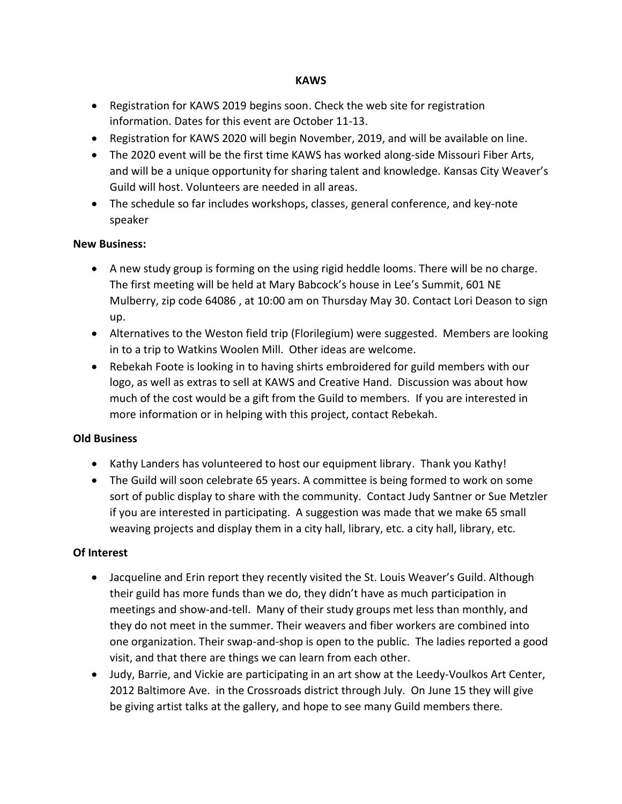#### **KAWS**

- Registration for KAWS 2019 begins soon. Check the web site for registration information. Dates for this event are October 11-13.
- Registration for KAWS 2020 will begin November, 2019, and will be available on line.
- The 2020 event will be the first time KAWS has worked along-side Missouri Fiber Arts, and will be a unique opportunity for sharing talent and knowledge. Kansas City Weaver's Guild will host. Volunteers are needed in all areas.
- The schedule so far includes workshops, classes, general conference, and key-note speaker

#### **New Business:**

- A new study group is forming on the using rigid heddle looms. There will be no charge. The first meeting will be held at Mary Babcock's house in Lee's Summit, 601 NE Mulberry, zip code 64086 , at 10:00 am on Thursday May 30. Contact Lori Deason to sign up.
- Alternatives to the Weston field trip (Florilegium) were suggested. Members are looking in to a trip to Watkins Woolen Mill. Other ideas are welcome.
- Rebekah Foote is looking in to having shirts embroidered for guild members with our logo, as well as extras to sell at KAWS and Creative Hand. Discussion was about how much of the cost would be a gift from the Guild to members. If you are interested in more information or in helping with this project, contact Rebekah.

# **Old Business**

- Kathy Landers has volunteered to host our equipment library. Thank you Kathy!
- The Guild will soon celebrate 65 years. A committee is being formed to work on some sort of public display to share with the community. Contact Judy Santner or Sue Metzler if you are interested in participating. A suggestion was made that we make 65 small weaving projects and display them in a city hall, library, etc. a city hall, library, etc.

# **Of Interest**

- Jacqueline and Erin report they recently visited the St. Louis Weaver's Guild. Although their guild has more funds than we do, they didn't have as much participation in meetings and show-and-tell. Many of their study groups met less than monthly, and they do not meet in the summer. Their weavers and fiber workers are combined into one organization. Their swap-and-shop is open to the public. The ladies reported a good visit, and that there are things we can learn from each other.
- Judy, Barrie, and Vickie are participating in an art show at the Leedy-Voulkos Art Center, 2012 Baltimore Ave. in the Crossroads district through July. On June 15 they will give be giving artist talks at the gallery, and hope to see many Guild members there.